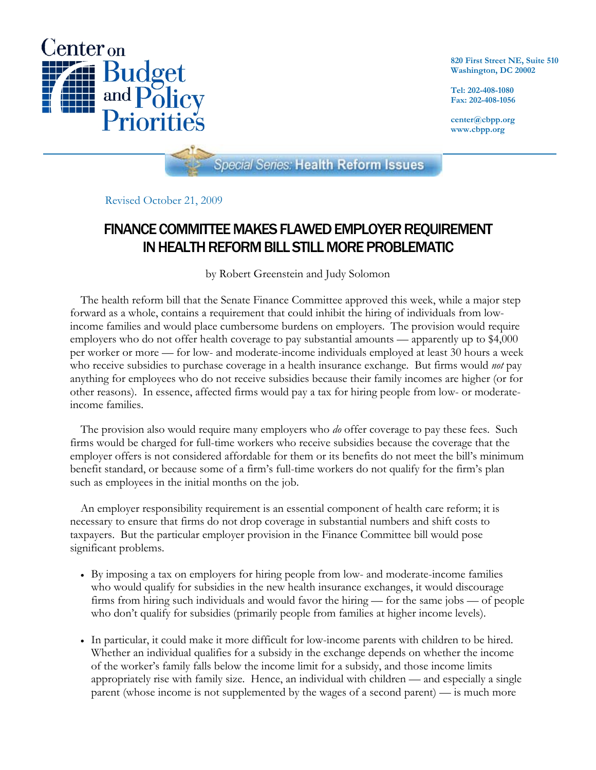

**820 First Street NE, Suite 510 Washington, DC 20002** 

**Tel: 202-408-1080 Fax: 202-408-1056** 

**center@cbpp.org www.cbpp.org** 

**Special Series: Health Reform Issues** 

Revised October 21, 2009

# FINANCE COMMITTEE MAKES FLAWED EMPLOYER REQUIREMENT IN HEALTH REFORM BILL STILL MORE PROBLEMATIC

by Robert Greenstein and Judy Solomon

The health reform bill that the Senate Finance Committee approved this week, while a major step forward as a whole, contains a requirement that could inhibit the hiring of individuals from lowincome families and would place cumbersome burdens on employers. The provision would require employers who do not offer health coverage to pay substantial amounts — apparently up to \$4,000 per worker or more — for low- and moderate-income individuals employed at least 30 hours a week who receive subsidies to purchase coverage in a health insurance exchange. But firms would *not* pay anything for employees who do not receive subsidies because their family incomes are higher (or for other reasons). In essence, affected firms would pay a tax for hiring people from low- or moderateincome families.

The provision also would require many employers who *do* offer coverage to pay these fees. Such firms would be charged for full-time workers who receive subsidies because the coverage that the employer offers is not considered affordable for them or its benefits do not meet the bill's minimum benefit standard, or because some of a firm's full-time workers do not qualify for the firm's plan such as employees in the initial months on the job.

An employer responsibility requirement is an essential component of health care reform; it is necessary to ensure that firms do not drop coverage in substantial numbers and shift costs to taxpayers. But the particular employer provision in the Finance Committee bill would pose significant problems.

- By imposing a tax on employers for hiring people from low- and moderate-income families who would qualify for subsidies in the new health insurance exchanges, it would discourage firms from hiring such individuals and would favor the hiring — for the same jobs — of people who don't qualify for subsidies (primarily people from families at higher income levels).
- In particular, it could make it more difficult for low-income parents with children to be hired. Whether an individual qualifies for a subsidy in the exchange depends on whether the income of the worker's family falls below the income limit for a subsidy, and those income limits appropriately rise with family size. Hence, an individual with children — and especially a single parent (whose income is not supplemented by the wages of a second parent) — is much more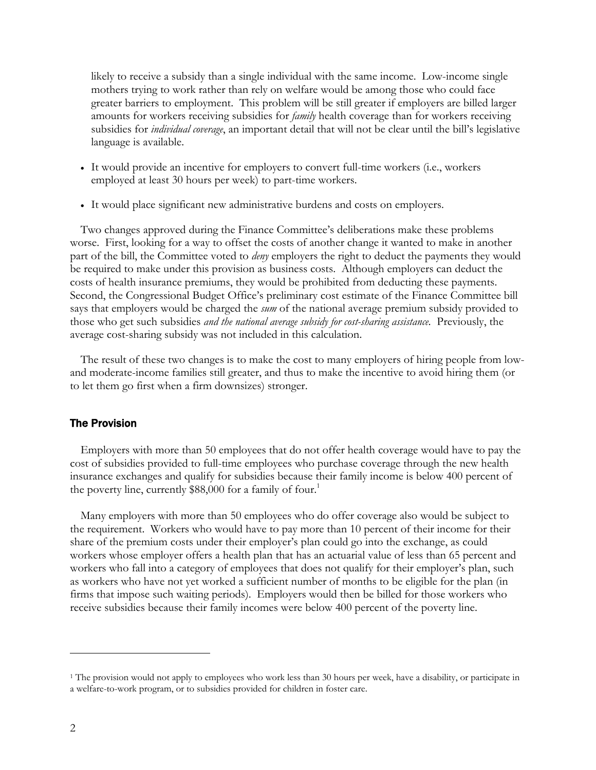likely to receive a subsidy than a single individual with the same income. Low-income single mothers trying to work rather than rely on welfare would be among those who could face greater barriers to employment. This problem will be still greater if employers are billed larger amounts for workers receiving subsidies for *family* health coverage than for workers receiving subsidies for *individual coverage*, an important detail that will not be clear until the bill's legislative language is available.

- It would provide an incentive for employers to convert full-time workers (i.e., workers employed at least 30 hours per week) to part-time workers.
- It would place significant new administrative burdens and costs on employers.

Two changes approved during the Finance Committee's deliberations make these problems worse. First, looking for a way to offset the costs of another change it wanted to make in another part of the bill, the Committee voted to *deny* employers the right to deduct the payments they would be required to make under this provision as business costs. Although employers can deduct the costs of health insurance premiums, they would be prohibited from deducting these payments. Second, the Congressional Budget Office's preliminary cost estimate of the Finance Committee bill says that employers would be charged the *sum* of the national average premium subsidy provided to those who get such subsidies *and the national average subsidy for cost-sharing assistance.* Previously, the average cost-sharing subsidy was not included in this calculation.

The result of these two changes is to make the cost to many employers of hiring people from lowand moderate-income families still greater, and thus to make the incentive to avoid hiring them (or to let them go first when a firm downsizes) stronger.

#### The Provision

 Employers with more than 50 employees that do not offer health coverage would have to pay the cost of subsidies provided to full-time employees who purchase coverage through the new health insurance exchanges and qualify for subsidies because their family income is below 400 percent of the poverty line, currently \$88,000 for a family of four.<sup>1</sup>

 Many employers with more than 50 employees who do offer coverage also would be subject to the requirement. Workers who would have to pay more than 10 percent of their income for their share of the premium costs under their employer's plan could go into the exchange, as could workers whose employer offers a health plan that has an actuarial value of less than 65 percent and workers who fall into a category of employees that does not qualify for their employer's plan, such as workers who have not yet worked a sufficient number of months to be eligible for the plan (in firms that impose such waiting periods). Employers would then be billed for those workers who receive subsidies because their family incomes were below 400 percent of the poverty line.

 $\overline{a}$ 

<sup>1</sup> The provision would not apply to employees who work less than 30 hours per week, have a disability, or participate in a welfare-to-work program, or to subsidies provided for children in foster care.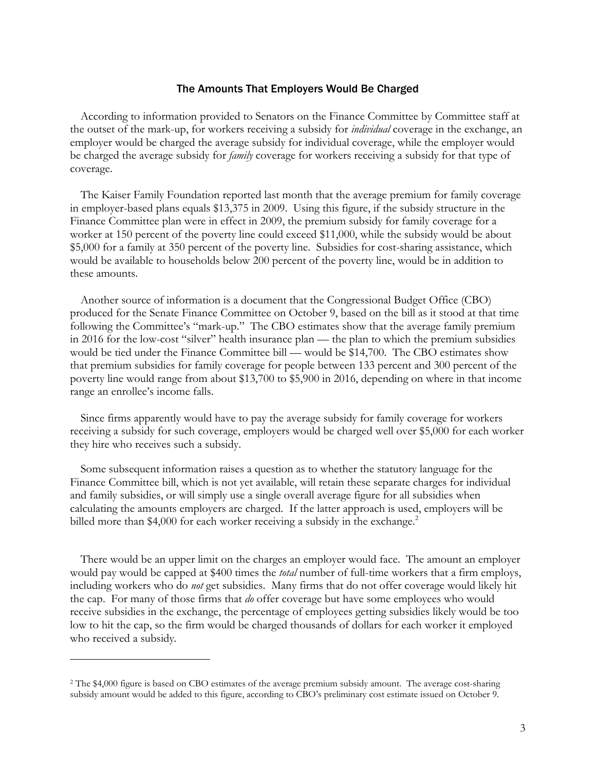#### The Amounts That Employers Would Be Charged

According to information provided to Senators on the Finance Committee by Committee staff at the outset of the mark-up, for workers receiving a subsidy for *individual* coverage in the exchange, an employer would be charged the average subsidy for individual coverage, while the employer would be charged the average subsidy for *family* coverage for workers receiving a subsidy for that type of coverage.

The Kaiser Family Foundation reported last month that the average premium for family coverage in employer-based plans equals \$13,375 in 2009. Using this figure, if the subsidy structure in the Finance Committee plan were in effect in 2009, the premium subsidy for family coverage for a worker at 150 percent of the poverty line could exceed \$11,000, while the subsidy would be about \$5,000 for a family at 350 percent of the poverty line. Subsidies for cost-sharing assistance, which would be available to households below 200 percent of the poverty line, would be in addition to these amounts.

Another source of information is a document that the Congressional Budget Office (CBO) produced for the Senate Finance Committee on October 9, based on the bill as it stood at that time following the Committee's "mark-up." The CBO estimates show that the average family premium in 2016 for the low-cost "silver" health insurance plan — the plan to which the premium subsidies would be tied under the Finance Committee bill — would be \$14,700. The CBO estimates show that premium subsidies for family coverage for people between 133 percent and 300 percent of the poverty line would range from about \$13,700 to \$5,900 in 2016, depending on where in that income range an enrollee's income falls.

Since firms apparently would have to pay the average subsidy for family coverage for workers receiving a subsidy for such coverage, employers would be charged well over \$5,000 for each worker they hire who receives such a subsidy.

Some subsequent information raises a question as to whether the statutory language for the Finance Committee bill, which is not yet available, will retain these separate charges for individual and family subsidies, or will simply use a single overall average figure for all subsidies when calculating the amounts employers are charged. If the latter approach is used, employers will be billed more than \$4,000 for each worker receiving a subsidy in the exchange.<sup>2</sup>

There would be an upper limit on the charges an employer would face. The amount an employer would pay would be capped at \$400 times the *total* number of full-time workers that a firm employs, including workers who do *not* get subsidies. Many firms that do not offer coverage would likely hit the cap. For many of those firms that *do* offer coverage but have some employees who would receive subsidies in the exchange, the percentage of employees getting subsidies likely would be too low to hit the cap, so the firm would be charged thousands of dollars for each worker it employed who received a subsidy*.*

-

<sup>2</sup> The \$4,000 figure is based on CBO estimates of the average premium subsidy amount. The average cost-sharing subsidy amount would be added to this figure, according to CBO's preliminary cost estimate issued on October 9.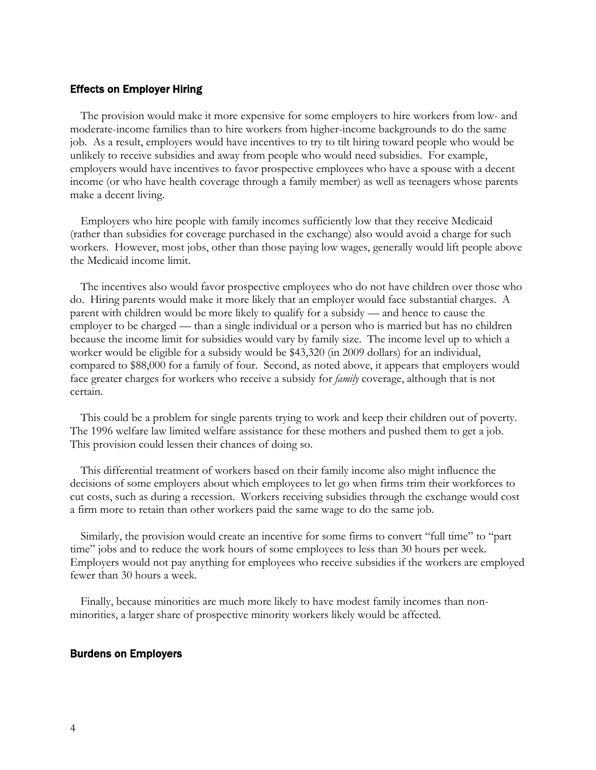#### Effects on Employer Hiring

The provision would make it more expensive for some employers to hire workers from low- and moderate-income families than to hire workers from higher-income backgrounds to do the same job. As a result, employers would have incentives to try to tilt hiring toward people who would be unlikely to receive subsidies and away from people who would need subsidies. For example, employers would have incentives to favor prospective employees who have a spouse with a decent income (or who have health coverage through a family member) as well as teenagers whose parents make a decent living.

Employers who hire people with family incomes sufficiently low that they receive Medicaid (rather than subsidies for coverage purchased in the exchange) also would avoid a charge for such workers. However, most jobs, other than those paying low wages, generally would lift people above the Medicaid income limit.

The incentives also would favor prospective employees who do not have children over those who do. Hiring parents would make it more likely that an employer would face substantial charges. A parent with children would be more likely to qualify for a subsidy — and hence to cause the employer to be charged — than a single individual or a person who is married but has no children because the income limit for subsidies would vary by family size. The income level up to which a worker would be eligible for a subsidy would be \$43,320 (in 2009 dollars) for an individual, compared to \$88,000 for a family of four. Second, as noted above, it appears that employers would face greater charges for workers who receive a subsidy for *family* coverage, although that is not certain.

This could be a problem for single parents trying to work and keep their children out of poverty. The 1996 welfare law limited welfare assistance for these mothers and pushed them to get a job. This provision could lessen their chances of doing so.

This differential treatment of workers based on their family income also might influence the decisions of some employers about which employees to let go when firms trim their workforces to cut costs, such as during a recession. Workers receiving subsidies through the exchange would cost a firm more to retain than other workers paid the same wage to do the same job.

Similarly, the provision would create an incentive for some firms to convert "full time" to "part time" jobs and to reduce the work hours of some employees to less than 30 hours per week. Employers would not pay anything for employees who receive subsidies if the workers are employed fewer than 30 hours a week.

Finally, because minorities are much more likely to have modest family incomes than nonminorities, a larger share of prospective minority workers likely would be affected.

### Burdens on Employers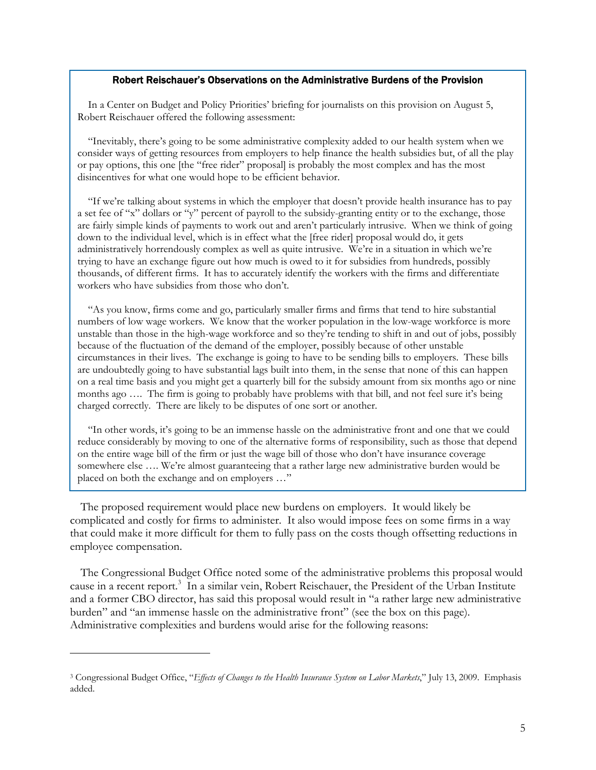#### Robert Reischauer's Observations on the Administrative Burdens of the Provision

In a Center on Budget and Policy Priorities' briefing for journalists on this provision on August 5, Robert Reischauer offered the following assessment:

"Inevitably, there's going to be some administrative complexity added to our health system when we consider ways of getting resources from employers to help finance the health subsidies but, of all the play or pay options, this one [the "free rider" proposal] is probably the most complex and has the most disincentives for what one would hope to be efficient behavior.

"If we're talking about systems in which the employer that doesn't provide health insurance has to pay a set fee of "x" dollars or "y" percent of payroll to the subsidy-granting entity or to the exchange, those are fairly simple kinds of payments to work out and aren't particularly intrusive. When we think of going down to the individual level, which is in effect what the [free rider] proposal would do, it gets administratively horrendously complex as well as quite intrusive. We're in a situation in which we're trying to have an exchange figure out how much is owed to it for subsidies from hundreds, possibly thousands, of different firms. It has to accurately identify the workers with the firms and differentiate workers who have subsidies from those who don't.

"As you know, firms come and go, particularly smaller firms and firms that tend to hire substantial numbers of low wage workers. We know that the worker population in the low-wage workforce is more unstable than those in the high-wage workforce and so they're tending to shift in and out of jobs, possibly because of the fluctuation of the demand of the employer, possibly because of other unstable circumstances in their lives. The exchange is going to have to be sending bills to employers. These bills are undoubtedly going to have substantial lags built into them, in the sense that none of this can happen on a real time basis and you might get a quarterly bill for the subsidy amount from six months ago or nine months ago .... The firm is going to probably have problems with that bill, and not feel sure it's being charged correctly. There are likely to be disputes of one sort or another.

"In other words, it's going to be an immense hassle on the administrative front and one that we could reduce considerably by moving to one of the alternative forms of responsibility, such as those that depend on the entire wage bill of the firm or just the wage bill of those who don't have insurance coverage somewhere else .... We're almost guaranteeing that a rather large new administrative burden would be placed on both the exchange and on employers …"

 The proposed requirement would place new burdens on employers. It would likely be complicated and costly for firms to administer. It also would impose fees on some firms in a way that could make it more difficult for them to fully pass on the costs though offsetting reductions in employee compensation.

The Congressional Budget Office noted some of the administrative problems this proposal would cause in a recent report.<sup>3</sup> In a similar vein, Robert Reischauer, the President of the Urban Institute and a former CBO director, has said this proposal would result in "a rather large new administrative burden" and "an immense hassle on the administrative front" (see the box on this page). Administrative complexities and burdens would arise for the following reasons:

 $\overline{a}$ 

<sup>3</sup> Congressional Budget Office, "*Effects of Changes to the Health Insurance System on Labor Markets*," July 13, 2009. Emphasis added.